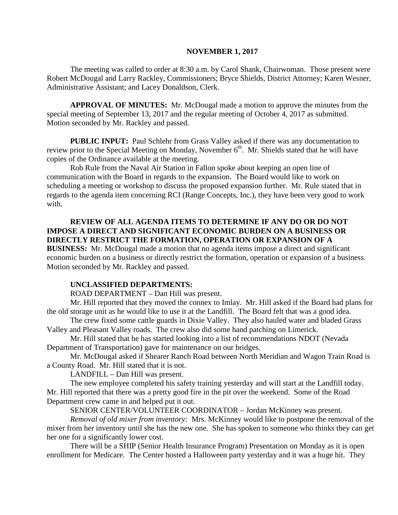#### **NOVEMBER 1, 2017**

The meeting was called to order at 8:30 a.m. by Carol Shank, Chairwoman. Those present were Robert McDougal and Larry Rackley, Commissioners; Bryce Shields, District Attorney; Karen Wesner, Administrative Assistant; and Lacey Donaldson, Clerk.

**APPROVAL OF MINUTES:** Mr. McDougal made a motion to approve the minutes from the special meeting of September 13, 2017 and the regular meeting of October 4, 2017 as submitted. Motion seconded by Mr. Rackley and passed.

 **PUBLIC INPUT:** Paul Schlehr from Grass Valley asked if there was any documentation to review prior to the Special Meeting on Monday, November  $6<sup>th</sup>$ . Mr. Shields stated that he will have copies of the Ordinance available at the meeting.

Rob Rule from the Naval Air Station in Fallon spoke about keeping an open line of communication with the Board in regards to the expansion. The Board would like to work on scheduling a meeting or workshop to discuss the proposed expansion further. Mr. Rule stated that in regards to the agenda item concerning RCI (Range Concepts, Inc.), they have been very good to work with.

## **REVIEW OF ALL AGENDA ITEMS TO DETERMINE IF ANY DO OR DO NOT IMPOSE A DIRECT AND SIGNIFICANT ECONOMIC BURDEN ON A BUSINESS OR DIRECTLY RESTRICT THE FORMATION, OPERATION OR EXPANSION OF A**

**BUSINESS:** Mr. McDougal made a motion that no agenda items impose a direct and significant economic burden on a business or directly restrict the formation, operation or expansion of a business. Motion seconded by Mr. Rackley and passed.

## **UNCLASSIFIED DEPARTMENTS:**

ROAD DEPARTMENT – Dan Hill was present.

Mr. Hill reported that they moved the connex to Imlay. Mr. Hill asked if the Board had plans for the old storage unit as he would like to use it at the Landfill. The Board felt that was a good idea.

The crew fixed some cattle guards in Dixie Valley. They also hauled water and bladed Grass Valley and Pleasant Valley roads. The crew also did some hand patching on Limerick.

Mr. Hill stated that he has started looking into a list of recommendations NDOT (Nevada Department of Transportation) gave for maintenance on our bridges.

Mr. McDougal asked if Shearer Ranch Road between North Meridian and Wagon Train Road is a County Road. Mr. Hill stated that it is not.

LANDFILL – Dan Hill was present.

The new employee completed his safety training yesterday and will start at the Landfill today. Mr. Hill reported that there was a pretty good fire in the pit over the weekend. Some of the Road Department crew came in and helped put it out.

SENIOR CENTER/VOLUNTEER COORDINATOR – Jordan McKinney was present.

*Removal of old mixer from inventory:* Mrs. McKinney would like to postpone the removal of the mixer from her inventory until she has the new one. She has spoken to someone who thinks they can get her one for a significantly lower cost.

There will be a SHIP (Senior Health Insurance Program) Presentation on Monday as it is open enrollment for Medicare. The Center hosted a Halloween party yesterday and it was a huge hit. They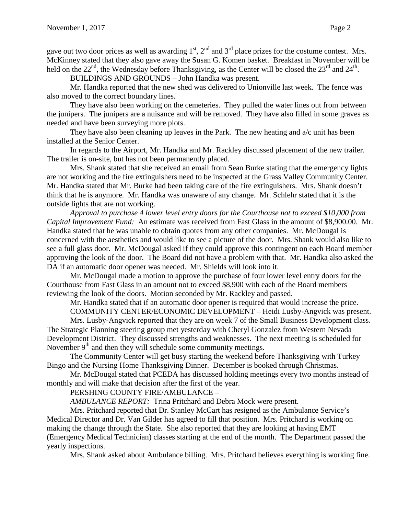gave out two door prices as well as awarding  $1<sup>st</sup>$ ,  $2<sup>nd</sup>$  and  $3<sup>rd</sup>$  place prizes for the costume contest. Mrs. McKinney stated that they also gave away the Susan G. Komen basket. Breakfast in November will be held on the  $22<sup>nd</sup>$ , the Wednesday before Thanksgiving, as the Center will be closed the  $23<sup>rd</sup>$  and  $24<sup>th</sup>$ .

BUILDINGS AND GROUNDS – John Handka was present.

Mr. Handka reported that the new shed was delivered to Unionville last week. The fence was also moved to the correct boundary lines.

They have also been working on the cemeteries. They pulled the water lines out from between the junipers. The junipers are a nuisance and will be removed. They have also filled in some graves as needed and have been surveying more plots.

They have also been cleaning up leaves in the Park. The new heating and  $a/c$  unit has been installed at the Senior Center.

In regards to the Airport, Mr. Handka and Mr. Rackley discussed placement of the new trailer. The trailer is on-site, but has not been permanently placed.

Mrs. Shank stated that she received an email from Sean Burke stating that the emergency lights are not working and the fire extinguishers need to be inspected at the Grass Valley Community Center. Mr. Handka stated that Mr. Burke had been taking care of the fire extinguishers. Mrs. Shank doesn't think that he is anymore. Mr. Handka was unaware of any change. Mr. Schlehr stated that it is the outside lights that are not working.

*Approval to purchase 4 lower level entry doors for the Courthouse not to exceed \$10,000 from Capital Improvement Fund:* An estimate was received from Fast Glass in the amount of \$8,900.00. Mr. Handka stated that he was unable to obtain quotes from any other companies. Mr. McDougal is concerned with the aesthetics and would like to see a picture of the door. Mrs. Shank would also like to see a full glass door. Mr. McDougal asked if they could approve this contingent on each Board member approving the look of the door. The Board did not have a problem with that. Mr. Handka also asked the DA if an automatic door opener was needed. Mr. Shields will look into it.

Mr. McDougal made a motion to approve the purchase of four lower level entry doors for the Courthouse from Fast Glass in an amount not to exceed \$8,900 with each of the Board members reviewing the look of the doors. Motion seconded by Mr. Rackley and passed.

Mr. Handka stated that if an automatic door opener is required that would increase the price.

COMMUNITY CENTER/ECONOMIC DEVELOPMENT – Heidi Lusby-Angvick was present.

Mrs. Lusby-Angvick reported that they are on week 7 of the Small Business Development class. The Strategic Planning steering group met yesterday with Cheryl Gonzalez from Western Nevada Development District. They discussed strengths and weaknesses. The next meeting is scheduled for November  $9<sup>th</sup>$  and then they will schedule some community meetings.

The Community Center will get busy starting the weekend before Thanksgiving with Turkey Bingo and the Nursing Home Thanksgiving Dinner. December is booked through Christmas.

Mr. McDougal stated that PCEDA has discussed holding meetings every two months instead of monthly and will make that decision after the first of the year.

## PERSHING COUNTY FIRE/AMBULANCE –

*AMBULANCE REPORT:* Trina Pritchard and Debra Mock were present.

Mrs. Pritchard reported that Dr. Stanley McCart has resigned as the Ambulance Service's Medical Director and Dr. Van Gilder has agreed to fill that position. Mrs. Pritchard is working on making the change through the State. She also reported that they are looking at having EMT (Emergency Medical Technician) classes starting at the end of the month. The Department passed the yearly inspections.

Mrs. Shank asked about Ambulance billing. Mrs. Pritchard believes everything is working fine.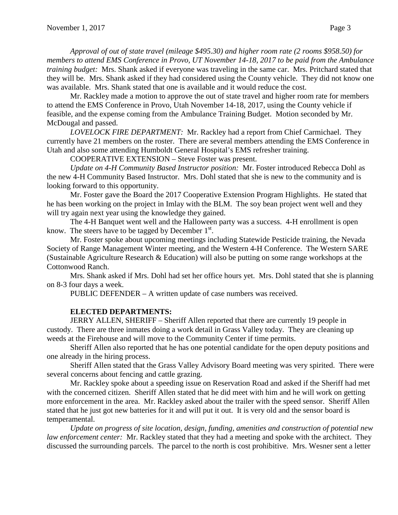*Approval of out of state travel (mileage \$495.30) and higher room rate (2 rooms \$958.50) for members to attend EMS Conference in Provo, UT November 14-18, 2017 to be paid from the Ambulance training budget:* Mrs. Shank asked if everyone was traveling in the same car. Mrs. Pritchard stated that they will be. Mrs. Shank asked if they had considered using the County vehicle. They did not know one was available. Mrs. Shank stated that one is available and it would reduce the cost.

Mr. Rackley made a motion to approve the out of state travel and higher room rate for members to attend the EMS Conference in Provo, Utah November 14-18, 2017, using the County vehicle if feasible, and the expense coming from the Ambulance Training Budget. Motion seconded by Mr. McDougal and passed.

*LOVELOCK FIRE DEPARTMENT:* Mr. Rackley had a report from Chief Carmichael. They currently have 21 members on the roster. There are several members attending the EMS Conference in Utah and also some attending Humboldt General Hospital's EMS refresher training.

COOPERATIVE EXTENSION – Steve Foster was present.

*Update on 4-H Community Based Instructor position:* Mr. Foster introduced Rebecca Dohl as the new 4-H Community Based Instructor. Mrs. Dohl stated that she is new to the community and is looking forward to this opportunity.

Mr. Foster gave the Board the 2017 Cooperative Extension Program Highlights. He stated that he has been working on the project in Imlay with the BLM. The soy bean project went well and they will try again next year using the knowledge they gained.

The 4-H Banquet went well and the Halloween party was a success. 4-H enrollment is open know. The steers have to be tagged by December  $1<sup>st</sup>$ .

Mr. Foster spoke about upcoming meetings including Statewide Pesticide training, the Nevada Society of Range Management Winter meeting, and the Western 4-H Conference. The Western SARE (Sustainable Agriculture Research & Education) will also be putting on some range workshops at the Cottonwood Ranch.

Mrs. Shank asked if Mrs. Dohl had set her office hours yet. Mrs. Dohl stated that she is planning on 8-3 four days a week.

PUBLIC DEFENDER – A written update of case numbers was received.

## **ELECTED DEPARTMENTS:**

JERRY ALLEN, SHERIFF – Sheriff Allen reported that there are currently 19 people in custody. There are three inmates doing a work detail in Grass Valley today. They are cleaning up weeds at the Firehouse and will move to the Community Center if time permits.

Sheriff Allen also reported that he has one potential candidate for the open deputy positions and one already in the hiring process.

Sheriff Allen stated that the Grass Valley Advisory Board meeting was very spirited. There were several concerns about fencing and cattle grazing.

Mr. Rackley spoke about a speeding issue on Reservation Road and asked if the Sheriff had met with the concerned citizen. Sheriff Allen stated that he did meet with him and he will work on getting more enforcement in the area. Mr. Rackley asked about the trailer with the speed sensor. Sheriff Allen stated that he just got new batteries for it and will put it out. It is very old and the sensor board is temperamental.

*Update on progress of site location, design, funding, amenities and construction of potential new law enforcement center:* Mr. Rackley stated that they had a meeting and spoke with the architect. They discussed the surrounding parcels. The parcel to the north is cost prohibitive. Mrs. Wesner sent a letter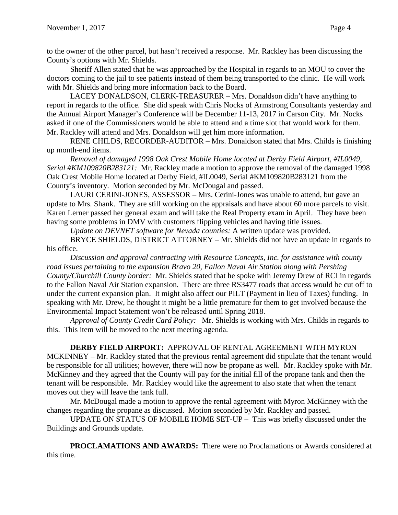to the owner of the other parcel, but hasn't received a response. Mr. Rackley has been discussing the County's options with Mr. Shields.

Sheriff Allen stated that he was approached by the Hospital in regards to an MOU to cover the doctors coming to the jail to see patients instead of them being transported to the clinic. He will work with Mr. Shields and bring more information back to the Board.

LACEY DONALDSON, CLERK-TREASURER – Mrs. Donaldson didn't have anything to report in regards to the office. She did speak with Chris Nocks of Armstrong Consultants yesterday and the Annual Airport Manager's Conference will be December 11-13, 2017 in Carson City. Mr. Nocks asked if one of the Commissioners would be able to attend and a time slot that would work for them. Mr. Rackley will attend and Mrs. Donaldson will get him more information.

RENE CHILDS, RECORDER-AUDITOR – Mrs. Donaldson stated that Mrs. Childs is finishing up month-end items.

*Removal of damaged 1998 Oak Crest Mobile Home located at Derby Field Airport, #IL0049, Serial #KM109820B283121:* Mr. Rackley made a motion to approve the removal of the damaged 1998 Oak Crest Mobile Home located at Derby Field, #IL0049, Serial #KM109820B283121 from the County's inventory. Motion seconded by Mr. McDougal and passed.

LAURI CERINI-JONES, ASSESSOR – Mrs. Cerini-Jones was unable to attend, but gave an update to Mrs. Shank. They are still working on the appraisals and have about 60 more parcels to visit. Karen Lerner passed her general exam and will take the Real Property exam in April. They have been having some problems in DMV with customers flipping vehicles and having title issues.

*Update on DEVNET software for Nevada counties:* A written update was provided.

BRYCE SHIELDS, DISTRICT ATTORNEY – Mr. Shields did not have an update in regards to his office.

*Discussion and approval contracting with Resource Concepts, Inc. for assistance with county road issues pertaining to the expansion Bravo 20, Fallon Naval Air Station along with Pershing County/Churchill County border:* Mr. Shields stated that he spoke with Jeremy Drew of RCI in regards to the Fallon Naval Air Station expansion. There are three RS3477 roads that access would be cut off to under the current expansion plan. It might also affect our PILT (Payment in lieu of Taxes) funding. In speaking with Mr. Drew, he thought it might be a little premature for them to get involved because the Environmental Impact Statement won't be released until Spring 2018.

*Approval of County Credit Card Policy:* Mr. Shields is working with Mrs. Childs in regards to this. This item will be moved to the next meeting agenda.

# **DERBY FIELD AIRPORT:** APPROVAL OF RENTAL AGREEMENT WITH MYRON

MCKINNEY – Mr. Rackley stated that the previous rental agreement did stipulate that the tenant would be responsible for all utilities; however, there will now be propane as well. Mr. Rackley spoke with Mr. McKinney and they agreed that the County will pay for the initial fill of the propane tank and then the tenant will be responsible. Mr. Rackley would like the agreement to also state that when the tenant moves out they will leave the tank full.

Mr. McDougal made a motion to approve the rental agreement with Myron McKinney with the changes regarding the propane as discussed. Motion seconded by Mr. Rackley and passed.

UPDATE ON STATUS OF MOBILE HOME SET-UP – This was briefly discussed under the Buildings and Grounds update.

**PROCLAMATIONS AND AWARDS:** There were no Proclamations or Awards considered at this time.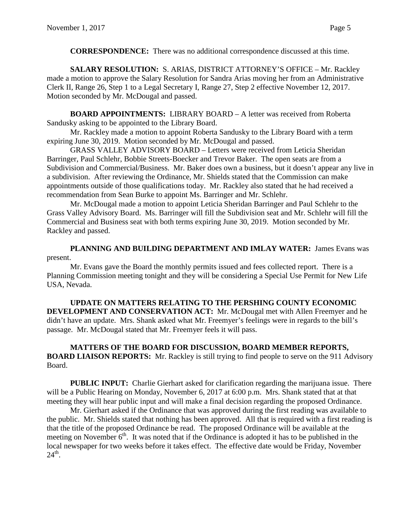**CORRESPONDENCE:** There was no additional correspondence discussed at this time.

**SALARY RESOLUTION:** S. ARIAS, DISTRICT ATTORNEY'S OFFICE – Mr. Rackley made a motion to approve the Salary Resolution for Sandra Arias moving her from an Administrative Clerk II, Range 26, Step 1 to a Legal Secretary I, Range 27, Step 2 effective November 12, 2017. Motion seconded by Mr. McDougal and passed.

**BOARD APPOINTMENTS:** LIBRARY BOARD – A letter was received from Roberta Sandusky asking to be appointed to the Library Board.

Mr. Rackley made a motion to appoint Roberta Sandusky to the Library Board with a term expiring June 30, 2019. Motion seconded by Mr. McDougal and passed.

GRASS VALLEY ADVISORY BOARD – Letters were received from Leticia Sheridan Barringer, Paul Schlehr, Bobbie Streets-Boecker and Trevor Baker. The open seats are from a Subdivision and Commercial/Business. Mr. Baker does own a business, but it doesn't appear any live in a subdivision. After reviewing the Ordinance, Mr. Shields stated that the Commission can make appointments outside of those qualifications today. Mr. Rackley also stated that he had received a recommendation from Sean Burke to appoint Ms. Barringer and Mr. Schlehr.

Mr. McDougal made a motion to appoint Leticia Sheridan Barringer and Paul Schlehr to the Grass Valley Advisory Board. Ms. Barringer will fill the Subdivision seat and Mr. Schlehr will fill the Commercial and Business seat with both terms expiring June 30, 2019. Motion seconded by Mr. Rackley and passed.

**PLANNING AND BUILDING DEPARTMENT AND IMLAY WATER:** James Evans was present.

Mr. Evans gave the Board the monthly permits issued and fees collected report. There is a Planning Commission meeting tonight and they will be considering a Special Use Permit for New Life USA, Nevada.

**UPDATE ON MATTERS RELATING TO THE PERSHING COUNTY ECONOMIC DEVELOPMENT AND CONSERVATION ACT:** Mr. McDougal met with Allen Freemyer and he didn't have an update. Mrs. Shank asked what Mr. Freemyer's feelings were in regards to the bill's passage. Mr. McDougal stated that Mr. Freemyer feels it will pass.

**MATTERS OF THE BOARD FOR DISCUSSION, BOARD MEMBER REPORTS, BOARD LIAISON REPORTS:** Mr. Rackley is still trying to find people to serve on the 911 Advisory Board.

**PUBLIC INPUT:** Charlie Gierhart asked for clarification regarding the marijuana issue. There will be a Public Hearing on Monday, November 6, 2017 at 6:00 p.m. Mrs. Shank stated that at that meeting they will hear public input and will make a final decision regarding the proposed Ordinance.

Mr. Gierhart asked if the Ordinance that was approved during the first reading was available to the public. Mr. Shields stated that nothing has been approved. All that is required with a first reading is that the title of the proposed Ordinance be read. The proposed Ordinance will be available at the meeting on November  $6<sup>th</sup>$ . It was noted that if the Ordinance is adopted it has to be published in the local newspaper for two weeks before it takes effect. The effective date would be Friday, November  $24^{\text{th}}$ .